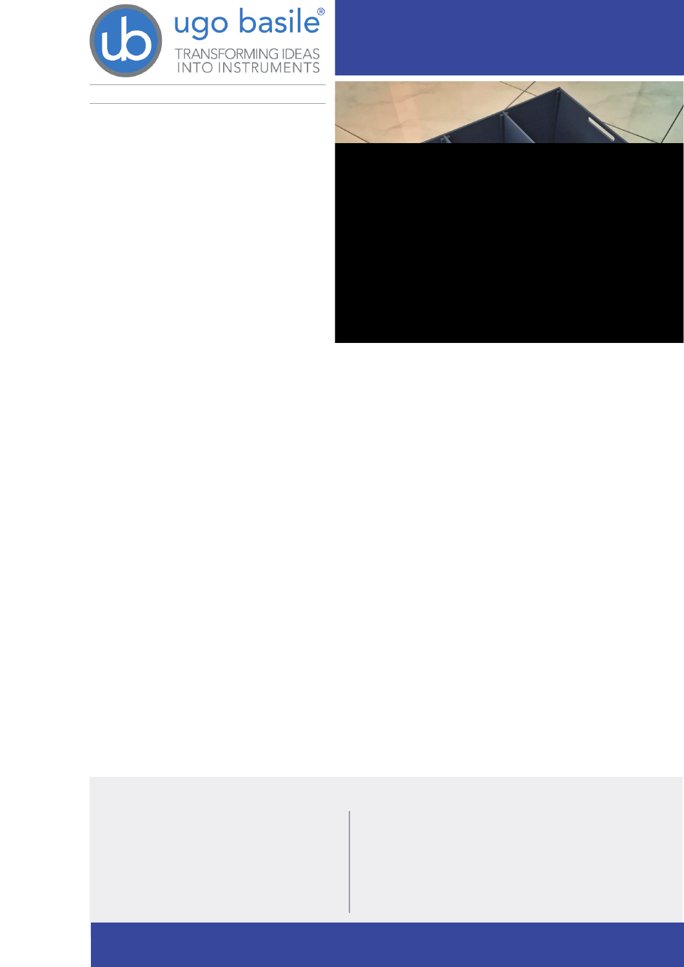

XXX VHPCBTJMF DPN

# 4PDJBCJMJUZ "QQBSBUVT DIBNCFSFE TPDJBM UFTU

GPS .064& PS 3"5

## **(FOFSBM**

 $\overline{z}$ 

 $\overline{z}$ 

 $\overline{7}$ 

z 4PDJBCJMJUZ %PNJOBODF

"VUJTN

3FTFBSDI IBT TIPXO UIBU BMUIPVHI IVNBO TPDJBM CFIBWJPS JT HFOFSBMMZ NPSF DPNQMFY IVNBOT BOE BOJNBMT TIBSF TPNF BTQFDUT PG TPDJBM CFIBWJPS

DIBNCFSFE UFTU JT B WBMVBCMF UPPM UP BT  $51F$ TFTT HFOFSBM TPDJBCJMJUZ BOE JOUFSFTU JO TPDJBM OPWFMUZ JO SPEFOU NPEFMT PO3\$/4 FADR SEFASTO/

SPEFOUT OPSNBMMZ QSFGFS UP TOFOE UJNF XJUI<br>BOPUIFS SPEFOU TPDJBCJMJUZ BOE XJMM JOWFTUJ HBUF B OPWFM JOUSVEFS NPSE U4BPODBJ BG BJN JFMN PPSS POF/PWFMUZ TPDJBM OPWFMUZ

1BJS CPOEJOH  $\mathbf{Z}$ #BTFE PO UIFTF JODMJOBUJPOT UIF 51STF SIBN<br>CFS 5FTU DBO IFMQ JEFOUJGZ SPEFOUT VSOULEF DUFGBSDIJFT JO TPDJBCJMJUZ BOE PS TPDJBM OPWFMUZ

51F6HP #BTJMF 4PDJBCJMB0Z "QQBSBUVT TJTUT PG B DIBNCFSFE DBHF XJUI USBOTQBSFOU PS HSFZ PQBRVF XBMMT B TQFDJBM OPO SFqFDUJWF HSFZ DPMPSFE qPPS BOE HSJE FODMPTVSFT

.BOZ BVUIPST F H .PZ FU BM /BEMFS FU IBWF TIPXO UIBU B DIBNCFSFE CPY

B M

DBO CF VTFE UP UFTU

4PDJBM / PWFMUZ 1SFGFSFODF

CPUI MJHIU BOE EBSL BOJNBMTY Y I DN

# BJO 'FBUVSET

7 8 PSLTF PWX JUI UIF NPTU CBTzIBILW JIECHERD JBM OBJOUJOH HJWFT B T USBDLJOH TPGUXBSF

6HP #BTJMF NPSF UIBO

OMFBTBOU GPS UIF BOJNBMT UP XI

Z (SJE & ODMPTVSFT NBYJNJIE BW BN BN ME WHF XJUI USBOTQBSFOU PS

**DJU** 

**JOUFSBDUJPO** Z 4PDJBCJMJUZ \$BHFT GPS 3BU BSF Z 5IF HSFZ QPPS HJWFT IJHI DPUOXUPS BIJILFTXJUUBOEBSE YY I DN